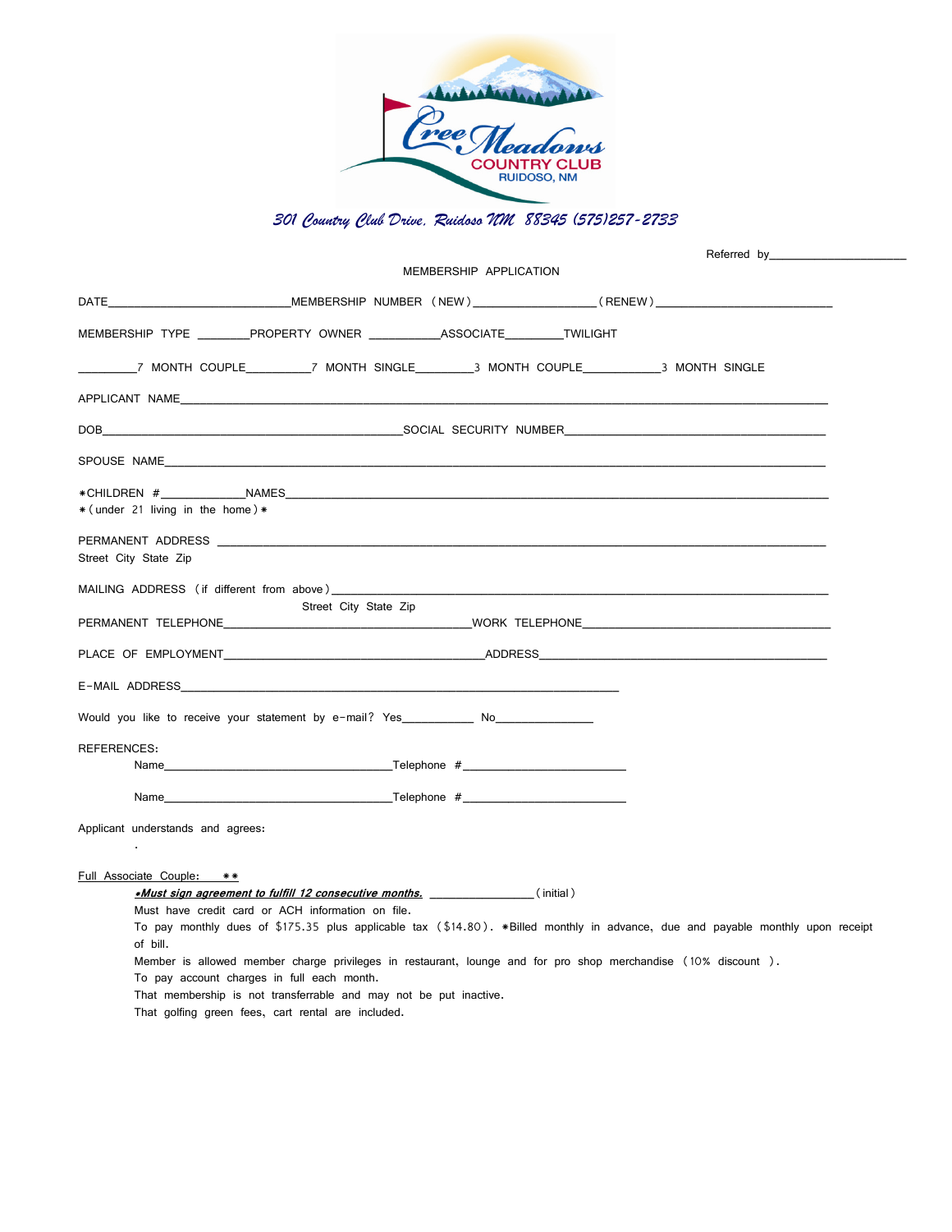

## *301 Country Club Drive, Ruidoso NM 88345 (575)257-2733*

|                                                                                                                          |                                                                                                                                                             |                        | Referred by______________                                                                                                       |  |
|--------------------------------------------------------------------------------------------------------------------------|-------------------------------------------------------------------------------------------------------------------------------------------------------------|------------------------|---------------------------------------------------------------------------------------------------------------------------------|--|
|                                                                                                                          |                                                                                                                                                             | MEMBERSHIP APPLICATION |                                                                                                                                 |  |
|                                                                                                                          |                                                                                                                                                             |                        |                                                                                                                                 |  |
| MEMBERSHIP TYPE _________PROPERTY OWNER ____________ASSOCIATE_________TWILIGHT                                           |                                                                                                                                                             |                        |                                                                                                                                 |  |
|                                                                                                                          |                                                                                                                                                             |                        |                                                                                                                                 |  |
|                                                                                                                          |                                                                                                                                                             |                        |                                                                                                                                 |  |
|                                                                                                                          |                                                                                                                                                             |                        |                                                                                                                                 |  |
| SPOUSE NAME <b>And All and All and All and All and All and All and All and All and All and All and All and All and A</b> |                                                                                                                                                             |                        |                                                                                                                                 |  |
| * (under 21 living in the home) *                                                                                        |                                                                                                                                                             |                        |                                                                                                                                 |  |
| Street City State Zip                                                                                                    |                                                                                                                                                             |                        |                                                                                                                                 |  |
| MAILING ADDRESS (if different from above)                                                                                | Street City State Zip                                                                                                                                       |                        |                                                                                                                                 |  |
|                                                                                                                          |                                                                                                                                                             |                        |                                                                                                                                 |  |
|                                                                                                                          |                                                                                                                                                             |                        |                                                                                                                                 |  |
|                                                                                                                          |                                                                                                                                                             |                        |                                                                                                                                 |  |
| Would you like to receive your statement by e-mail? Yes No                                                               |                                                                                                                                                             |                        |                                                                                                                                 |  |
| <b>REFERENCES:</b>                                                                                                       |                                                                                                                                                             |                        |                                                                                                                                 |  |
|                                                                                                                          |                                                                                                                                                             |                        |                                                                                                                                 |  |
|                                                                                                                          | Name Telephone #                                                                                                                                            |                        |                                                                                                                                 |  |
| Applicant understands and agrees:                                                                                        |                                                                                                                                                             |                        |                                                                                                                                 |  |
|                                                                                                                          |                                                                                                                                                             |                        |                                                                                                                                 |  |
| Full Associate Couple: **                                                                                                |                                                                                                                                                             |                        |                                                                                                                                 |  |
|                                                                                                                          |                                                                                                                                                             |                        |                                                                                                                                 |  |
|                                                                                                                          | Must have credit card or ACH information on file.                                                                                                           |                        |                                                                                                                                 |  |
|                                                                                                                          |                                                                                                                                                             |                        | To pay monthly dues of \$175.35 plus applicable tax (\$14.80). *Billed monthly in advance, due and payable monthly upon receipt |  |
| of bill.                                                                                                                 |                                                                                                                                                             |                        |                                                                                                                                 |  |
|                                                                                                                          | Member is allowed member charge privileges in restaurant, lounge and for pro shop merchandise (10% discount).<br>To pay account charges in full each month. |                        |                                                                                                                                 |  |
|                                                                                                                          | That membership is not transferrable and may not be put inactive.                                                                                           |                        |                                                                                                                                 |  |
|                                                                                                                          | That golfing green fees, cart rental are included.                                                                                                          |                        |                                                                                                                                 |  |